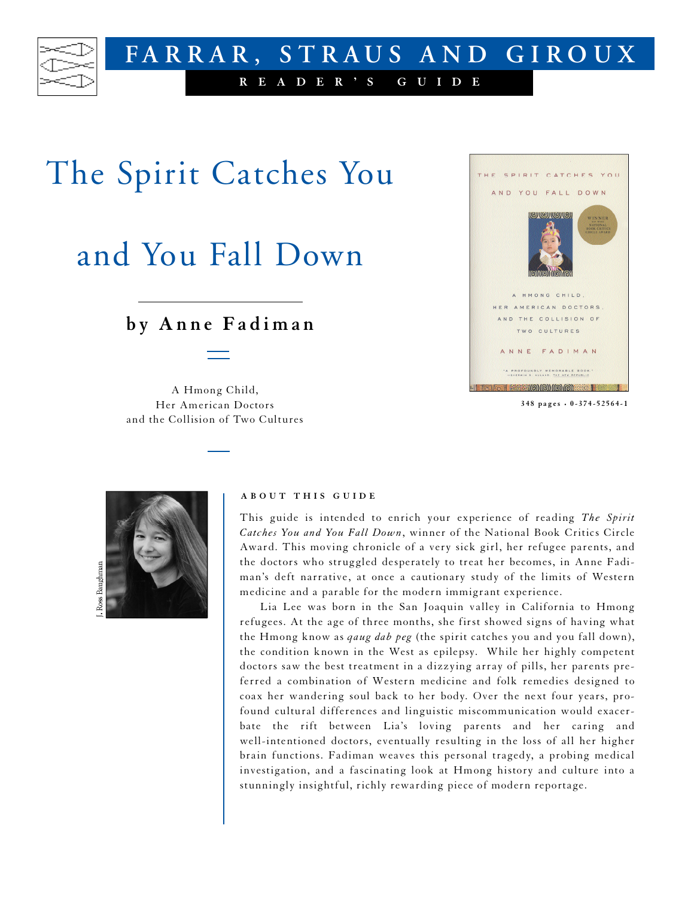

## The Spirit Catches You

## and You Fall Down

## **b y A n n e F a d ima n**

A Hmong Child, Her American Doctors and the Collision of Two Cultures



**3 4 8 p a g e s • 0 - 3 7 4 - 5 2 5 6 4 - 1**



## **A B O U T T H I S G U I D E**

This guide is intended to enrich your experience of reading *The Spirit Catches You and You Fall Down*, winner of the National Book Critics Circle Award. This moving chronicle of a very sick girl, her refugee parents, and the doctors who struggled desperately to treat her becomes, in Anne Fadiman's deft narrative, at once a cautionary study of the limits of Western medicine and a parable for the modern immigrant experience.

Lia Lee was born in the San Joaquin valley in California to Hmong refugees. At the age of three months, she first showed signs of having what the Hmong know as *qaug dab peg* (the spirit catches you and you fall down), the condition known in the West as epilepsy. While her highly competent doctors saw the best treatment in a dizzying array of pills, her parents preferred a combination of Western medicine and folk remedies designed to coax her wandering soul back to her body. Over the next four years, profound cultural differences and linguistic miscommunication would exacerbate the rift between Lia's loving parents and her caring and well-intentioned doctors, eventually resulting in the loss of all her higher brain functions. Fadiman weaves this personal tragedy, a probing medical investigation, and a fascinating look at Hmong history and culture into a stunningly insightful, richly rewarding piece of modern reportage.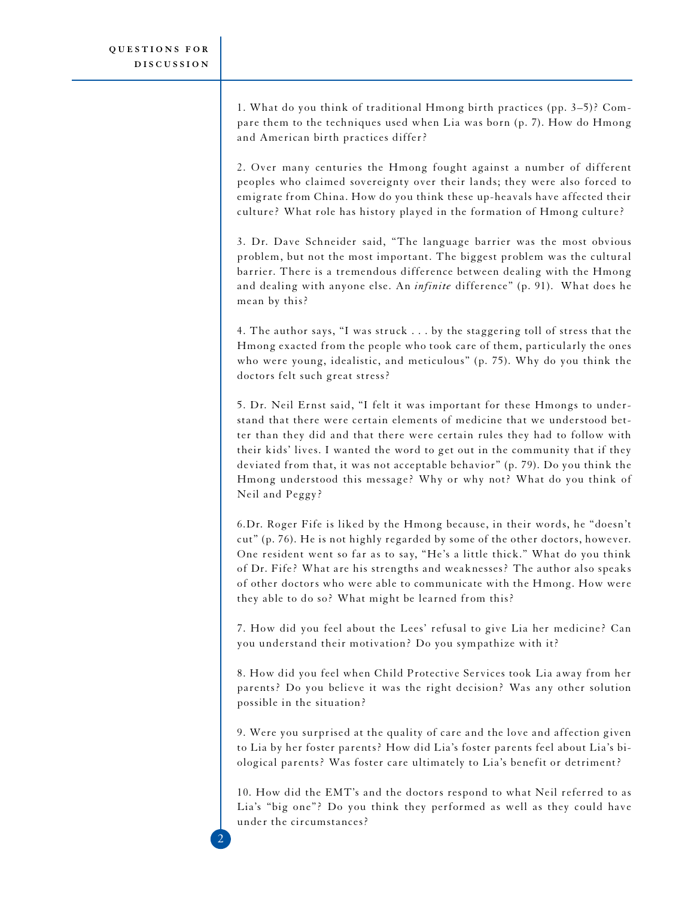2

1. What do you think of traditional Hmong birth practices (pp. 3–5)? Compare them to the techniques used when Lia was born (p. 7). How do Hmong and American birth practices differ?

2. Over many centuries the Hmong fought against a number of different peoples who claimed sovereignty over their lands; they were also forced to emigrate from China. How do you think these up-heavals have affected their culture? What role has history played in the formation of Hmong culture?

3. Dr. Dave Schneider said, "The language barrier was the most obvious problem, but not the most important. The biggest problem was the cultural barrier. There is a tremendous difference between dealing with the Hmong and dealing with anyone else. An *infinite* difference" (p. 91). What does he mean by this?

4. The author says, "I was struck . . . by the staggering toll of stress that the Hmong exacted from the people who took care of them, particularly the ones who were young, idealistic, and meticulous" (p. 75). Why do you think the doctors felt such great stress?

5. Dr. Neil Ernst said, "I felt it was important for these Hmongs to understand that there were certain elements of medicine that we understood better than they did and that there were certain rules they had to follow with their kids' lives. I wanted the word to get out in the community that if they deviated from that, it was not acceptable behavior" (p. 79). Do you think the Hmong understood this message? Why or why not? What do you think of Neil and Peggy?

6. Dr. Roger Fife is liked by the Hmong because, in their words, he "doesn't cut" (p. 76). He is not highly regarded by some of the other doctors, however. One resident went so far as to say, "He's a little thick." What do you think of Dr. Fife? What are his strengths and weaknesses? The author also speaks of other doctors who were able to communicate with the Hmong. How were they able to do so? What might be learned from this?

7. How did you feel about the Lees' refusal to give Lia her medicine? Can you understand their motivation? Do you sympathize with it?

8. How did you feel when Child Protective Services took Lia away from her parents? Do you believe it was the right decision? Was any other solution possible in the situation?

9. Were you surprised at the quality of care and the love and affection given to Lia by her foster parents? How did Lia's foster parents feel about Lia's biological parents? Was foster care ultimately to Lia's benefit or detriment?

10. How did the EMT's and the doctors respond to what Neil referred to as Lia's "big one"? Do you think they performed as well as they could have under the circumstances?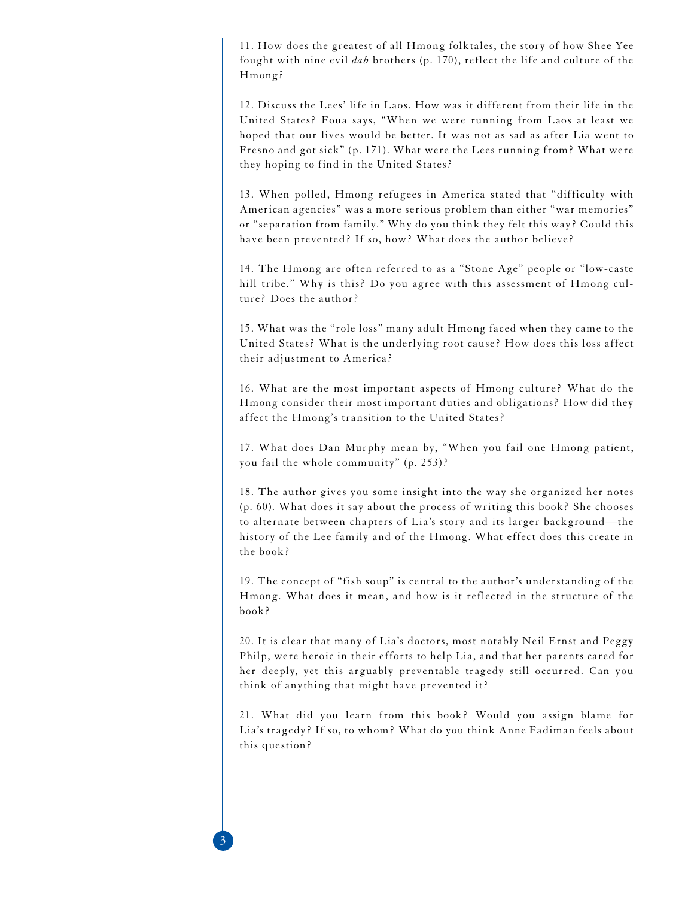11. How does the greatest of all Hmong folktales, the story of how Shee Yee fought with nine evil *dab* brothers (p. 170), reflect the life and culture of the Hmong?

12. Discuss the Lees' life in Laos. How was it different from their life in the United States? Foua says, "When we were running from Laos at least we hoped that our lives would be better. It was not as sad as after Lia went to Fresno and got sick" (p. 171). What were the Lees running from? What were they hoping to find in the United States?

13. When polled, Hmong refugees in America stated that "difficulty with American agencies" was a more serious problem than either "war memories" or "separation from family." Why do you think they felt this way? Could this have been prevented? If so, how? What does the author believe?

14. The Hmong are often referred to as a "Stone Age" people or "low-caste hill tribe." Why is this? Do you agree with this assessment of Hmong culture? Does the author?

15. What was the "role loss" many adult Hmong faced when they came to the United States? What is the underlying root cause? How does this loss affect their adjustment to America?

16. What are the most important aspects of Hmong culture? What do the Hmong consider their most important duties and obligations? How did they affect the Hmong's transition to the United States?

17. What does Dan Murphy mean by, "When you fail one Hmong patient, you fail the whole community" (p. 253)?

18. The author gives you some insight into the way she organized her notes (p. 60). What does it say about the process of writing this book? She chooses to alternate between chapters of Lia's story and its larger background—the history of the Lee family and of the Hmong. What effect does this create in the book?

19. The concept of "fish soup" is central to the author's understanding of the Hmong. What does it mean, and how is it reflected in the structure of the  $book?$ 

20. It is clear that many of Lia's doctors, most notably Neil Ernst and Peggy Philp, were heroic in their efforts to help Lia, and that her parents cared for her deeply, yet this arguably preventable tragedy still occurred. Can you think of anything that might have prevented it?

21. What did you learn from this book? Would you assign blame for Lia's tragedy? If so, to whom? What do you think Anne Fadiman feels about this question?

3